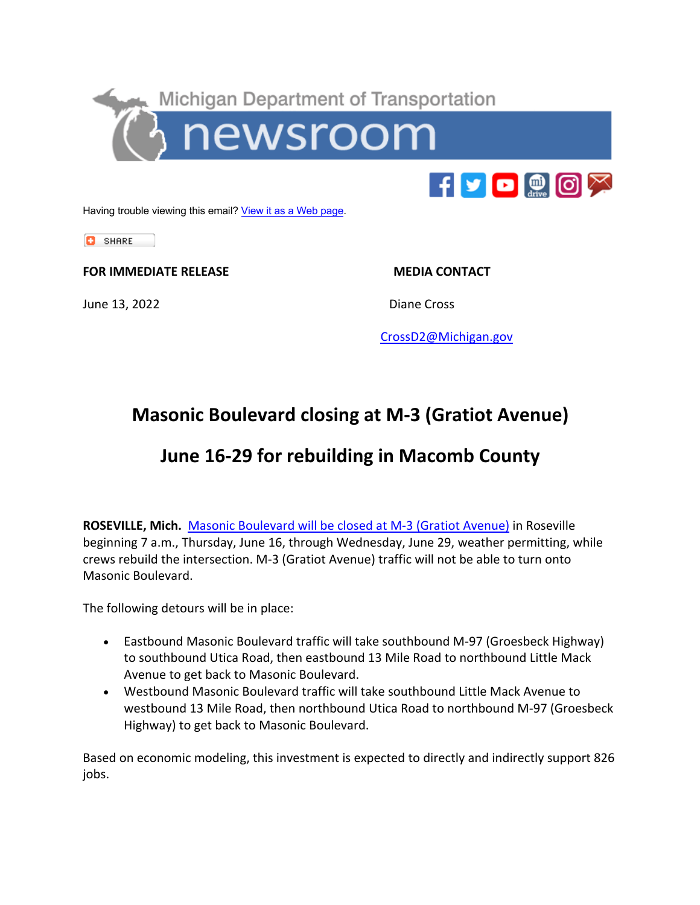



Having trouble viewing this email? View it as a Web page.

**C** SHARE

**FOR IMMEDIATE RELEASE MEDIA CONTACT** 

June 13, 2022 **Diane Cross** 

CrossD2@Michigan.gov

## **Masonic Boulevard closing at M-3 (Gratiot Avenue)**

## **June 16-29 for rebuilding in Macomb County**

**ROSEVILLE, Mich.** Masonic Boulevard will be closed at M-3 (Gratiot Avenue) in Roseville beginning 7 a.m., Thursday, June 16, through Wednesday, June 29, weather permitting, while crews rebuild the intersection. M-3 (Gratiot Avenue) traffic will not be able to turn onto Masonic Boulevard.

The following detours will be in place:

- Eastbound Masonic Boulevard traffic will take southbound M-97 (Groesbeck Highway) to southbound Utica Road, then eastbound 13 Mile Road to northbound Little Mack Avenue to get back to Masonic Boulevard.
- Westbound Masonic Boulevard traffic will take southbound Little Mack Avenue to westbound 13 Mile Road, then northbound Utica Road to northbound M-97 (Groesbeck Highway) to get back to Masonic Boulevard.

Based on economic modeling, this investment is expected to directly and indirectly support 826 jobs.